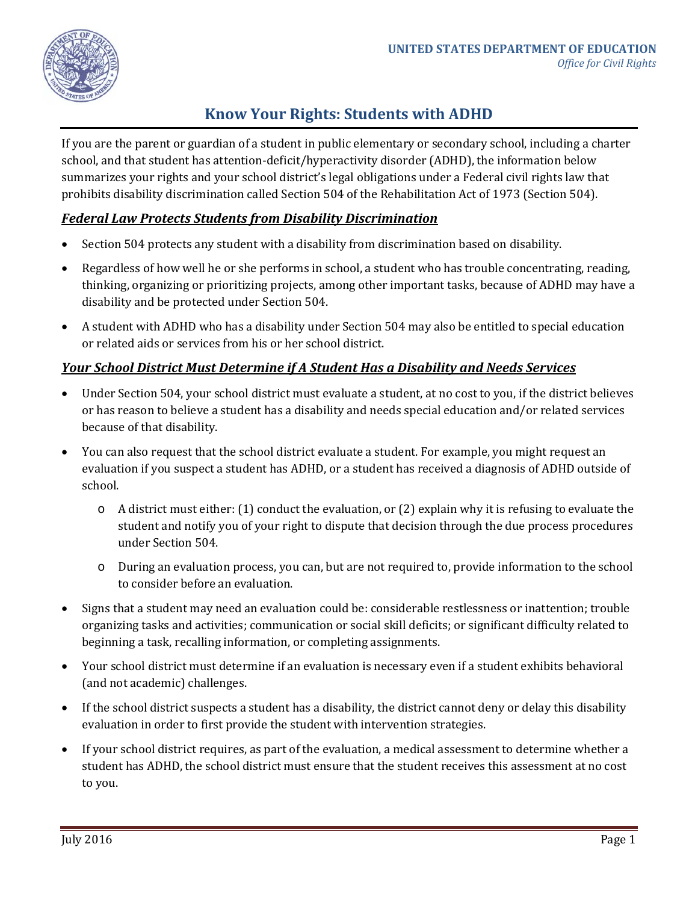

# **Know Your Rights: Students with ADHD**

If you are the parent or guardian of a student in public elementary or secondary school, including a charter school, and that student has attention-deficit/hyperactivity disorder (ADHD), the information below summarizes your rights and your school district's legal obligations under a Federal civil rights law that prohibits disability discrimination called Section 504 of the Rehabilitation Act of 1973 (Section 504).

# *Federal Law Protects Students from Disability Discrimination*

- Section 504 protects any student with a disability from discrimination based on disability.
- Regardless of how well he or she performs in school, a student who has trouble concentrating, reading, thinking, organizing or prioritizing projects, among other important tasks, because of ADHD may have a disability and be protected under Section 504.
- A student with ADHD who has a disability under Section 504 may also be entitled to special education or related aids or services from his or her school district.

### *Your School District Must Determine if A Student Has a Disability and Needs Services*

- Under Section 504, your school district must evaluate a student, at no cost to you, if the district believes or has reason to believe a student has a disability and needs special education and/or related services because of that disability.
- You can also request that the school district evaluate a student. For example, you might request an evaluation if you suspect a student has ADHD, or a student has received a diagnosis of ADHD outside of school.
	- o A district must either: (1) conduct the evaluation, or (2) explain why it is refusing to evaluate the student and notify you of your right to dispute that decision through the due process procedures under Section 504.
	- o During an evaluation process, you can, but are not required to, provide information to the school to consider before an evaluation.
- Signs that a student may need an evaluation could be: considerable restlessness or inattention; trouble organizing tasks and activities; communication or social skill deficits; or significant difficulty related to beginning a task, recalling information, or completing assignments.
- Your school district must determine if an evaluation is necessary even if a student exhibits behavioral (and not academic) challenges.
- If the school district suspects a student has a disability, the district cannot deny or delay this disability evaluation in order to first provide the student with intervention strategies.
- If your school district requires, as part of the evaluation, a medical assessment to determine whether a student has ADHD, the school district must ensure that the student receives this assessment at no cost to you.